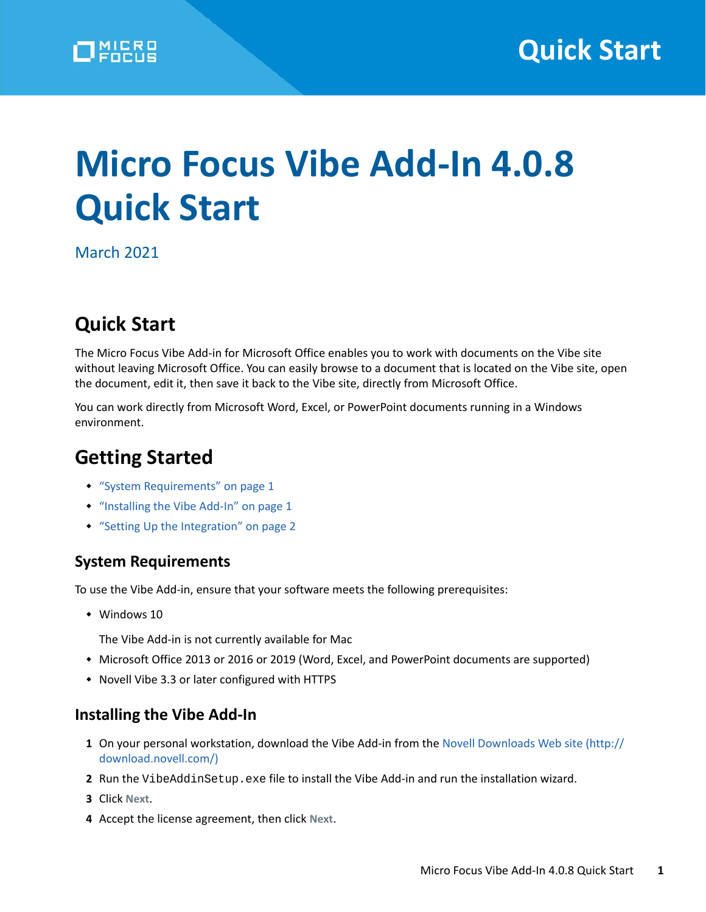

# **Micro Focus Vibe Add-In 4.0.8 Quick Start**

March 2021

# **Quick Start**

The Micro Focus Vibe Add-in for Microsoft Office enables you to work with documents on the Vibe site without leaving Microsoft Office. You can easily browse to a document that is located on the Vibe site, open the document, edit it, then save it back to the Vibe site, directly from Microsoft Office.

You can work directly from Microsoft Word, Excel, or PowerPoint documents running in a Windows environment.

# **Getting Started**

- ["System Requirements" on page 1](#page-0-0)
- ["Installing the Vibe Add-In" on page 1](#page-0-1)
- ["Setting Up the Integration" on page 2](#page-1-0)

#### <span id="page-0-0"></span>**System Requirements**

To use the Vibe Add-in, ensure that your software meets the following prerequisites:

- Windows 10
	- The Vibe Add-in is not currently available for Mac
- Microsoft Office 2013 or 2016 or 2019 (Word, Excel, and PowerPoint documents are supported)
- Novell Vibe 3.3 or later configured with HTTPS

#### <span id="page-0-1"></span>**Installing the Vibe Add-In**

- **1** On your personal workstation, download the Vibe Add-in from the [Novell Downloads Web site](http://download.novell.com/) (http:// download.novell.com/)
- 2 Run the VibeAddinSetup.exe file to install the Vibe Add-in and run the installation wizard.
- **3** Click **Next**.
- **4** Accept the license agreement, then click **Next**.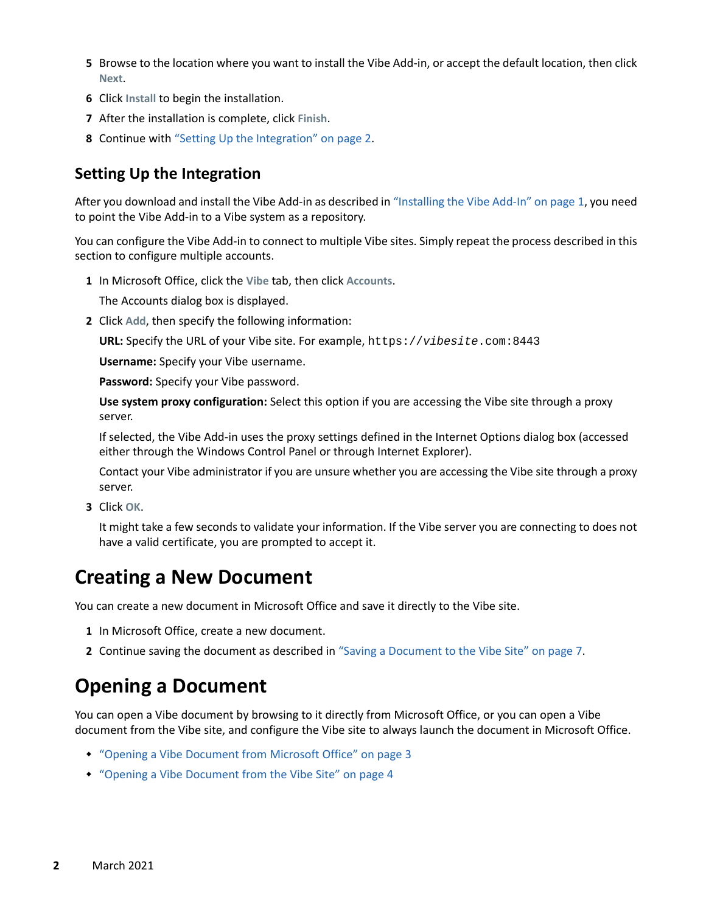- **5** Browse to the location where you want to install the Vibe Add-in, or accept the default location, then click **Next**.
- **6** Click **Install** to begin the installation.
- **7** After the installation is complete, click **Finish**.
- **8** Continue with ["Setting Up the Integration" on page 2](#page-1-0).

### <span id="page-1-0"></span>**Setting Up the Integration**

After you download and install the Vibe Add-in as described in ["Installing the Vibe Add-In" on page 1,](#page-0-1) you need to point the Vibe Add-in to a Vibe system as a repository.

You can configure the Vibe Add-in to connect to multiple Vibe sites. Simply repeat the process described in this section to configure multiple accounts.

**1** In Microsoft Office, click the **Vibe** tab, then click **Accounts**.

The Accounts dialog box is displayed.

**2** Click **Add**, then specify the following information:

**URL:** Specify the URL of your Vibe site. For example, https://*vibesite*.com:8443

**Username:** Specify your Vibe username.

**Password:** Specify your Vibe password.

**Use system proxy configuration:** Select this option if you are accessing the Vibe site through a proxy server.

If selected, the Vibe Add-in uses the proxy settings defined in the Internet Options dialog box (accessed either through the Windows Control Panel or through Internet Explorer).

Contact your Vibe administrator if you are unsure whether you are accessing the Vibe site through a proxy server.

**3** Click **OK**.

It might take a few seconds to validate your information. If the Vibe server you are connecting to does not have a valid certificate, you are prompted to accept it.

### **Creating a New Document**

You can create a new document in Microsoft Office and save it directly to the Vibe site.

- **1** In Microsoft Office, create a new document.
- **2** Continue saving the document as described in ["Saving a Document to the Vibe Site" on page 7](#page-6-0).

# <span id="page-1-1"></span>**Opening a Document**

You can open a Vibe document by browsing to it directly from Microsoft Office, or you can open a Vibe document from the Vibe site, and configure the Vibe site to always launch the document in Microsoft Office.

- ["Opening a Vibe Document from Microsoft Office" on page 3](#page-2-0)
- ["Opening a Vibe Document from the Vibe Site" on page 4](#page-3-0)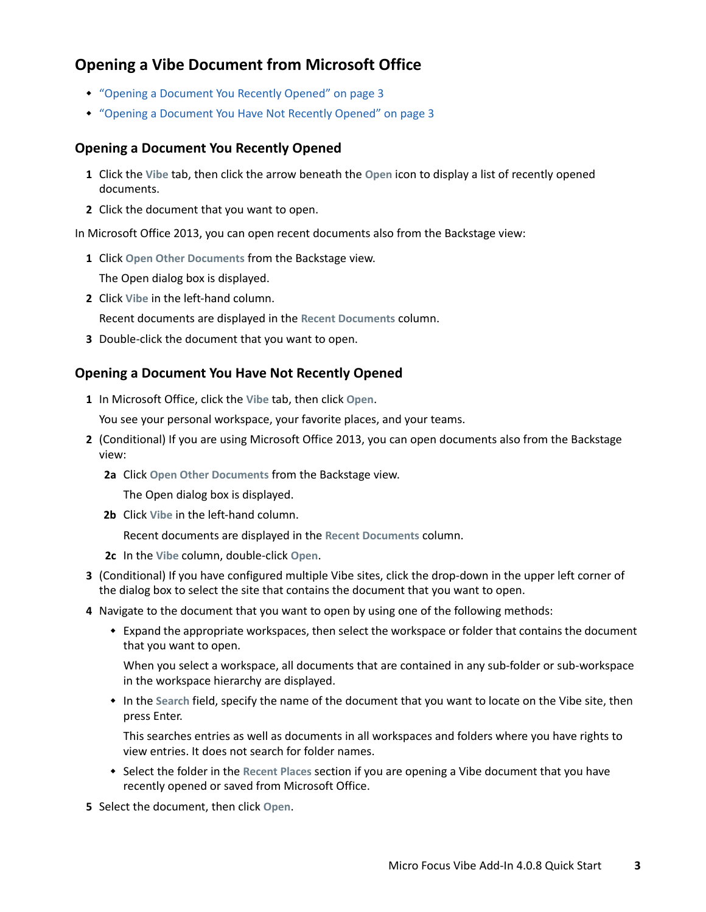### <span id="page-2-0"></span>**Opening a Vibe Document from Microsoft Office**

- ["Opening a Document You Recently Opened" on page 3](#page-2-1)
- ["Opening a Document You Have Not Recently Opened" on page 3](#page-2-2)

#### <span id="page-2-1"></span>**Opening a Document You Recently Opened**

- **1** Click the **Vibe** tab, then click the arrow beneath the **Open** icon to display a list of recently opened documents.
- **2** Click the document that you want to open.

In Microsoft Office 2013, you can open recent documents also from the Backstage view:

**1** Click **Open Other Documents** from the Backstage view.

The Open dialog box is displayed.

**2** Click **Vibe** in the left-hand column.

Recent documents are displayed in the **Recent Documents** column.

**3** Double-click the document that you want to open.

#### <span id="page-2-2"></span>**Opening a Document You Have Not Recently Opened**

**1** In Microsoft Office, click the **Vibe** tab, then click **Open**.

You see your personal workspace, your favorite places, and your teams.

- **2** (Conditional) If you are using Microsoft Office 2013, you can open documents also from the Backstage view:
	- **2a** Click **Open Other Documents** from the Backstage view.

The Open dialog box is displayed.

**2b** Click **Vibe** in the left-hand column.

Recent documents are displayed in the **Recent Documents** column.

- **2c** In the **Vibe** column, double-click **Open**.
- **3** (Conditional) If you have configured multiple Vibe sites, click the drop-down in the upper left corner of the dialog box to select the site that contains the document that you want to open.
- **4** Navigate to the document that you want to open by using one of the following methods:
	- Expand the appropriate workspaces, then select the workspace or folder that contains the document that you want to open.

When you select a workspace, all documents that are contained in any sub-folder or sub-workspace in the workspace hierarchy are displayed.

 In the **Search** field, specify the name of the document that you want to locate on the Vibe site, then press Enter.

This searches entries as well as documents in all workspaces and folders where you have rights to view entries. It does not search for folder names.

- Select the folder in the **Recent Places** section if you are opening a Vibe document that you have recently opened or saved from Microsoft Office.
- **5** Select the document, then click **Open**.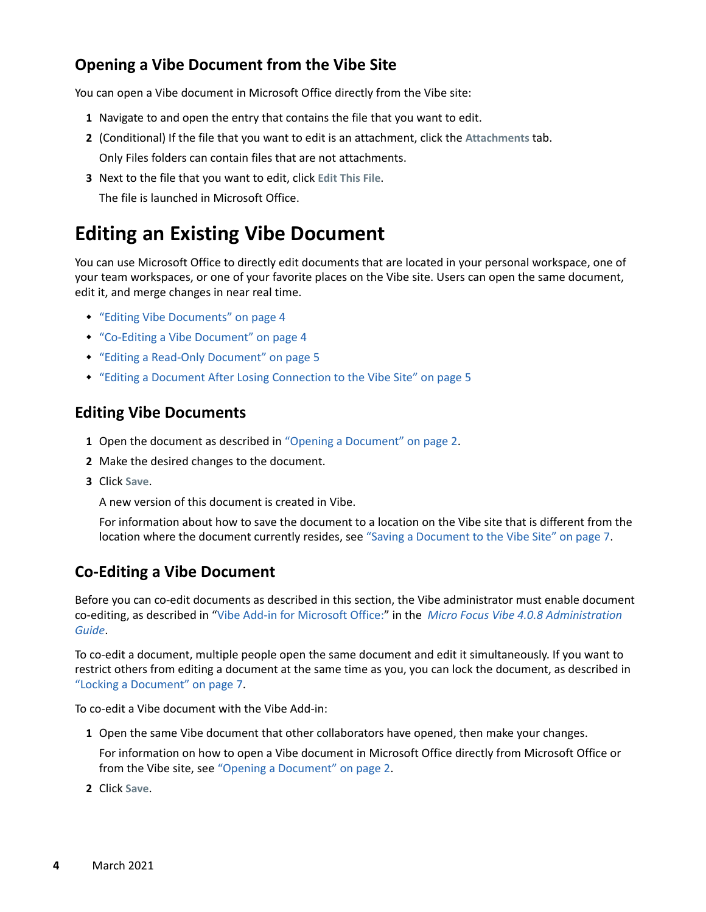### <span id="page-3-0"></span>**Opening a Vibe Document from the Vibe Site**

You can open a Vibe document in Microsoft Office directly from the Vibe site:

- **1** Navigate to and open the entry that contains the file that you want to edit.
- **2** (Conditional) If the file that you want to edit is an attachment, click the **Attachments** tab. Only Files folders can contain files that are not attachments.
- **3** Next to the file that you want to edit, click **Edit This File**. The file is launched in Microsoft Office.

# **Editing an Existing Vibe Document**

You can use Microsoft Office to directly edit documents that are located in your personal workspace, one of your team workspaces, or one of your favorite places on the Vibe site. Users can open the same document, edit it, and merge changes in near real time.

- ["Editing Vibe Documents" on page 4](#page-3-1)
- ["Co-Editing a Vibe Document" on page 4](#page-3-2)
- ["Editing a Read-Only Document" on page 5](#page-4-0)
- ["Editing a Document After Losing Connection to the Vibe Site" on page 5](#page-4-1)

#### <span id="page-3-1"></span>**Editing Vibe Documents**

- **1** Open the document as described in ["Opening a Document" on page 2.](#page-1-1)
- **2** Make the desired changes to the document.
- **3** Click **Save**.

A new version of this document is created in Vibe.

For information about how to save the document to a location on the Vibe site that is different from the location where the document currently resides, see ["Saving a Document to the Vibe Site" on page 7](#page-6-0).

### <span id="page-3-2"></span>**Co-Editing a Vibe Document**

Before you can co-edit documents as described in this section, the Vibe administrator must enable document co-editing, as described in "Vibe Add-in for Microsoft Office:" in the *Micro Focus Vibe 4.0.8 Administration Guide*.

To co-edit a document, multiple people open the same document and edit it simultaneously. If you want to restrict others from editing a document at the same time as you, you can lock the document, as described in ["Locking a Document" on page 7.](#page-6-1)

To co-edit a Vibe document with the Vibe Add-in:

**1** Open the same Vibe document that other collaborators have opened, then make your changes.

For information on how to open a Vibe document in Microsoft Office directly from Microsoft Office or from the Vibe site, see ["Opening a Document" on page 2.](#page-1-1)

**2** Click **Save**.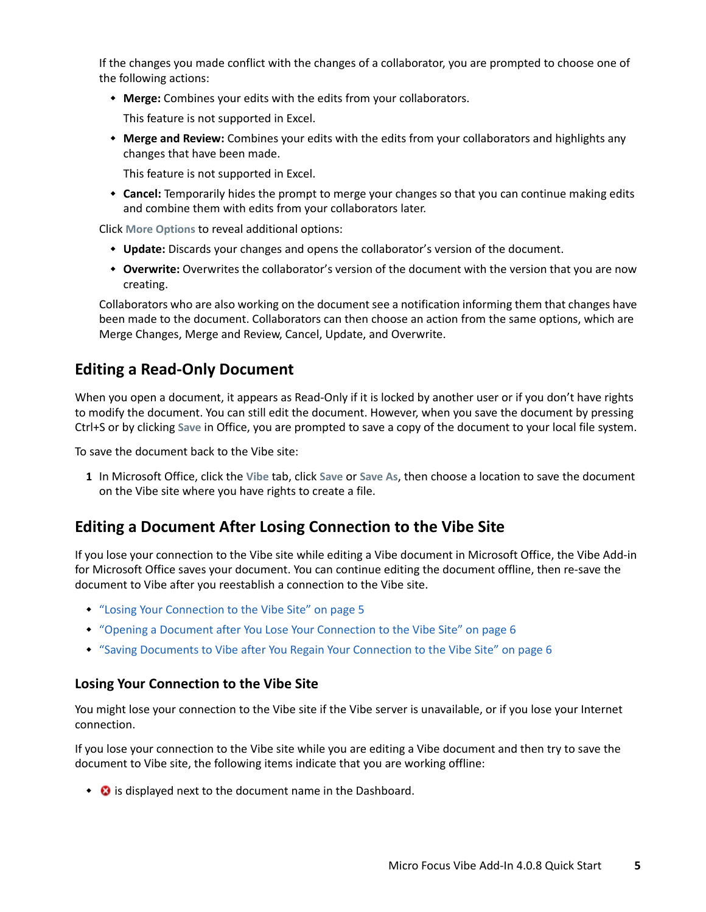If the changes you made conflict with the changes of a collaborator, you are prompted to choose one of the following actions:

**Merge:** Combines your edits with the edits from your collaborators.

This feature is not supported in Excel.

 **Merge and Review:** Combines your edits with the edits from your collaborators and highlights any changes that have been made.

This feature is not supported in Excel.

 **Cancel:** Temporarily hides the prompt to merge your changes so that you can continue making edits and combine them with edits from your collaborators later.

Click **More Options** to reveal additional options:

- **Update:** Discards your changes and opens the collaborator's version of the document.
- **Overwrite:** Overwrites the collaborator's version of the document with the version that you are now creating.

Collaborators who are also working on the document see a notification informing them that changes have been made to the document. Collaborators can then choose an action from the same options, which are Merge Changes, Merge and Review, Cancel, Update, and Overwrite.

#### <span id="page-4-0"></span>**Editing a Read-Only Document**

When you open a document, it appears as Read-Only if it is locked by another user or if you don't have rights to modify the document. You can still edit the document. However, when you save the document by pressing Ctrl+S or by clicking **Save** in Office, you are prompted to save a copy of the document to your local file system.

To save the document back to the Vibe site:

**1** In Microsoft Office, click the **Vibe** tab, click **Save** or **Save As**, then choose a location to save the document on the Vibe site where you have rights to create a file.

#### <span id="page-4-1"></span>**Editing a Document After Losing Connection to the Vibe Site**

If you lose your connection to the Vibe site while editing a Vibe document in Microsoft Office, the Vibe Add-in for Microsoft Office saves your document. You can continue editing the document offline, then re-save the document to Vibe after you reestablish a connection to the Vibe site.

- ["Losing Your Connection to the Vibe Site" on page 5](#page-4-2)
- ["Opening a Document after You Lose Your Connection to the Vibe Site" on page 6](#page-5-0)
- ["Saving Documents to Vibe after You Regain Your Connection to the Vibe Site" on page 6](#page-5-1)

#### <span id="page-4-2"></span>**Losing Your Connection to the Vibe Site**

You might lose your connection to the Vibe site if the Vibe server is unavailable, or if you lose your Internet connection.

If you lose your connection to the Vibe site while you are editing a Vibe document and then try to save the document to Vibe site, the following items indicate that you are working offline:

 $\cdot$   $\cdot$   $\cdot$  is displayed next to the document name in the Dashboard.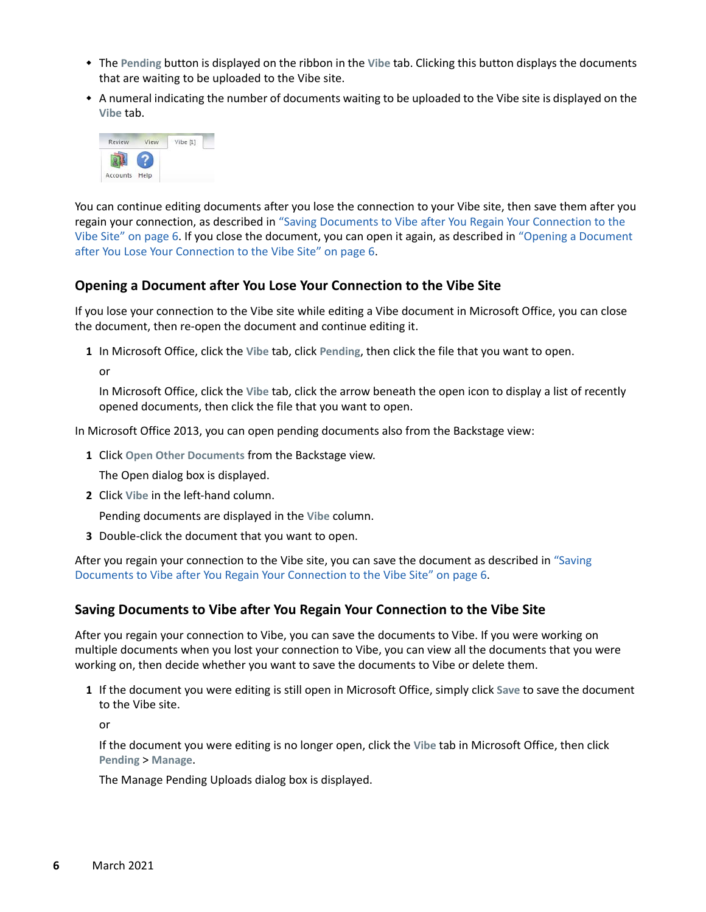- The **Pending** button is displayed on the ribbon in the **Vibe** tab. Clicking this button displays the documents that are waiting to be uploaded to the Vibe site.
- A numeral indicating the number of documents waiting to be uploaded to the Vibe site is displayed on the **Vibe** tab.



You can continue editing documents after you lose the connection to your Vibe site, then save them after you regain your connection, as described in ["Saving Documents to Vibe after You Regain Your Connection to the](#page-5-1)  [Vibe Site" on page 6.](#page-5-1) If you close the document, you can open it again, as described in ["Opening a Document](#page-5-0)  [after You Lose Your Connection to the Vibe Site" on page 6](#page-5-0).

#### <span id="page-5-0"></span>**Opening a Document after You Lose Your Connection to the Vibe Site**

If you lose your connection to the Vibe site while editing a Vibe document in Microsoft Office, you can close the document, then re-open the document and continue editing it.

**1** In Microsoft Office, click the **Vibe** tab, click **Pending**, then click the file that you want to open.

or

In Microsoft Office, click the **Vibe** tab, click the arrow beneath the open icon to display a list of recently opened documents, then click the file that you want to open.

In Microsoft Office 2013, you can open pending documents also from the Backstage view:

**1** Click **Open Other Documents** from the Backstage view.

The Open dialog box is displayed.

**2** Click **Vibe** in the left-hand column.

Pending documents are displayed in the **Vibe** column.

**3** Double-click the document that you want to open.

After you regain your connection to the Vibe site, you can save the document as described in "Saving [Documents to Vibe after You Regain Your Connection to the Vibe Site" on page 6](#page-5-1).

#### <span id="page-5-1"></span>**Saving Documents to Vibe after You Regain Your Connection to the Vibe Site**

After you regain your connection to Vibe, you can save the documents to Vibe. If you were working on multiple documents when you lost your connection to Vibe, you can view all the documents that you were working on, then decide whether you want to save the documents to Vibe or delete them.

**1** If the document you were editing is still open in Microsoft Office, simply click **Save** to save the document to the Vibe site.

or

If the document you were editing is no longer open, click the **Vibe** tab in Microsoft Office, then click **Pending** > **Manage**.

The Manage Pending Uploads dialog box is displayed.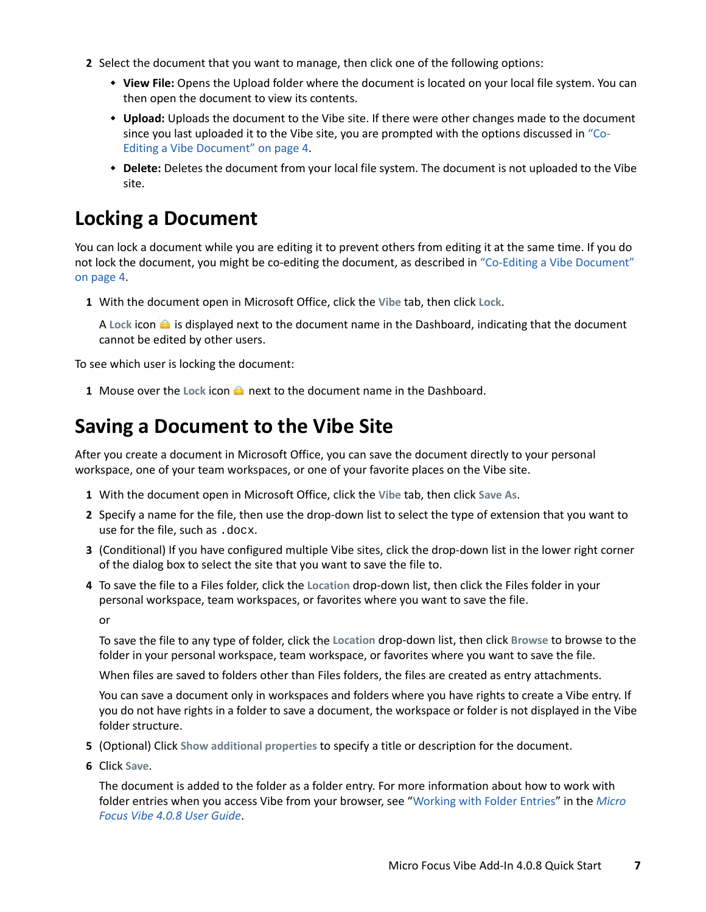- **2** Select the document that you want to manage, then click one of the following options:
	- **View File:** Opens the Upload folder where the document is located on your local file system. You can then open the document to view its contents.
	- **Upload:** Uploads the document to the Vibe site. If there were other changes made to the document since you last uploaded it to the Vibe site, you are prompted with the options discussed in ["Co-](#page-3-2)[Editing a Vibe Document" on page 4.](#page-3-2)
	- **Delete:** Deletes the document from your local file system. The document is not uploaded to the Vibe site.

# <span id="page-6-1"></span>**Locking a Document**

You can lock a document while you are editing it to prevent others from editing it at the same time. If you do not lock the document, you might be co-editing the document, as described in ["Co-Editing a Vibe Document"](#page-3-2)  [on page 4.](#page-3-2)

**1** With the document open in Microsoft Office, click the **Vibe** tab, then click **Lock**.

A Lock icon **is** is displayed next to the document name in the Dashboard, indicating that the document cannot be edited by other users.

To see which user is locking the document:

**1** Mouse over the Lock icon **net all next to the document name in the Dashboard.** 

# <span id="page-6-0"></span>**Saving a Document to the Vibe Site**

After you create a document in Microsoft Office, you can save the document directly to your personal workspace, one of your team workspaces, or one of your favorite places on the Vibe site.

- **1** With the document open in Microsoft Office, click the **Vibe** tab, then click **Save As**.
- **2** Specify a name for the file, then use the drop-down list to select the type of extension that you want to use for the file, such as .docx.
- **3** (Conditional) If you have configured multiple Vibe sites, click the drop-down list in the lower right corner of the dialog box to select the site that you want to save the file to.
- **4** To save the file to a Files folder, click the **Location** drop-down list, then click the Files folder in your personal workspace, team workspaces, or favorites where you want to save the file.

or

To save the file to any type of folder, click the **Location** drop-down list, then click **Browse** to browse to the folder in your personal workspace, team workspace, or favorites where you want to save the file.

When files are saved to folders other than Files folders, the files are created as entry attachments.

You can save a document only in workspaces and folders where you have rights to create a Vibe entry. If you do not have rights in a folder to save a document, the workspace or folder is not displayed in the Vibe folder structure.

- **5** (Optional) Click **Show additional properties** to specify a title or description for the document.
- **6** Click **Save**.

The document is added to the folder as a folder entry. For more information about how to work with folder entries when you access Vibe from your browser, see ["Working with Folder Entries"](https://www.novell.com/documentation/vibe4/pdfdoc/vibe4_user/vibe4_user.pdf#entry) in the *Micro Focus Vibe 4.0.8 User Guide*.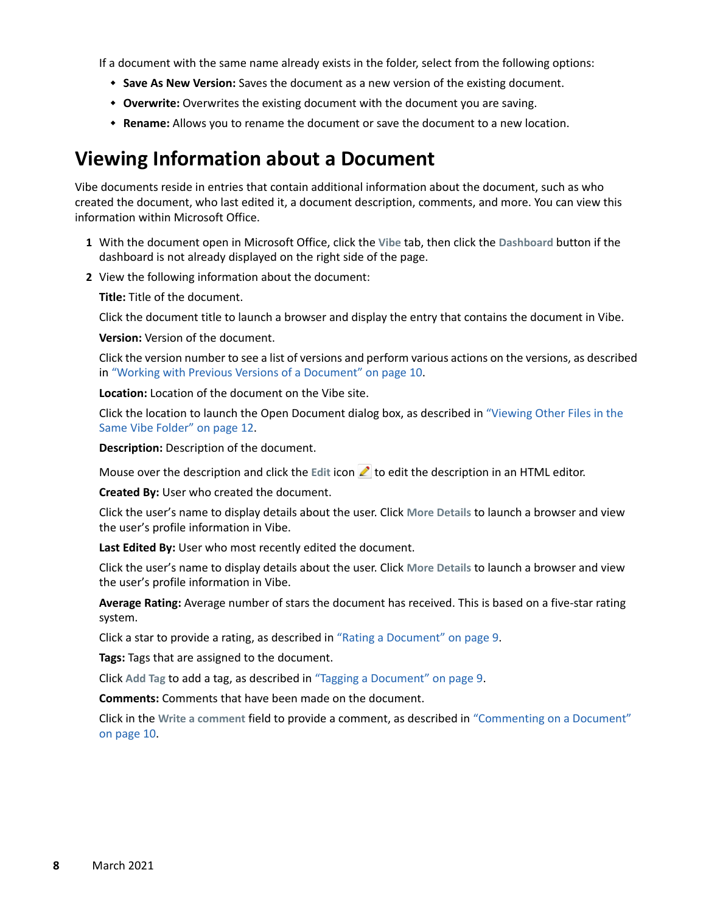If a document with the same name already exists in the folder, select from the following options:

- **Save As New Version:** Saves the document as a new version of the existing document.
- **Overwrite:** Overwrites the existing document with the document you are saving.
- **Rename:** Allows you to rename the document or save the document to a new location.

### **Viewing Information about a Document**

Vibe documents reside in entries that contain additional information about the document, such as who created the document, who last edited it, a document description, comments, and more. You can view this information within Microsoft Office.

- **1** With the document open in Microsoft Office, click the **Vibe** tab, then click the **Dashboard** button if the dashboard is not already displayed on the right side of the page.
- **2** View the following information about the document:

**Title:** Title of the document.

Click the document title to launch a browser and display the entry that contains the document in Vibe.

**Version:** Version of the document.

Click the version number to see a list of versions and perform various actions on the versions, as described in ["Working with Previous Versions of a Document" on page 10](#page-9-0).

**Location:** Location of the document on the Vibe site.

Click the location to launch the Open Document dialog box, as described in ["Viewing Other Files in the](#page-11-0)  [Same Vibe Folder" on page 12](#page-11-0).

**Description:** Description of the document.

Mouse over the description and click the Edit icon **1** to edit the description in an HTML editor.

**Created By:** User who created the document.

Click the user's name to display details about the user. Click **More Details** to launch a browser and view the user's profile information in Vibe.

**Last Edited By:** User who most recently edited the document.

Click the user's name to display details about the user. Click **More Details** to launch a browser and view the user's profile information in Vibe.

**Average Rating:** Average number of stars the document has received. This is based on a five-star rating system.

Click a star to provide a rating, as described in ["Rating a Document" on page 9.](#page-8-0)

**Tags:** Tags that are assigned to the document.

Click **Add Tag** to add a tag, as described in ["Tagging a Document" on page 9.](#page-8-1)

**Comments:** Comments that have been made on the document.

Click in the **Write a comment** field to provide a comment, as described in ["Commenting on a Document"](#page-9-1)  [on page 10](#page-9-1).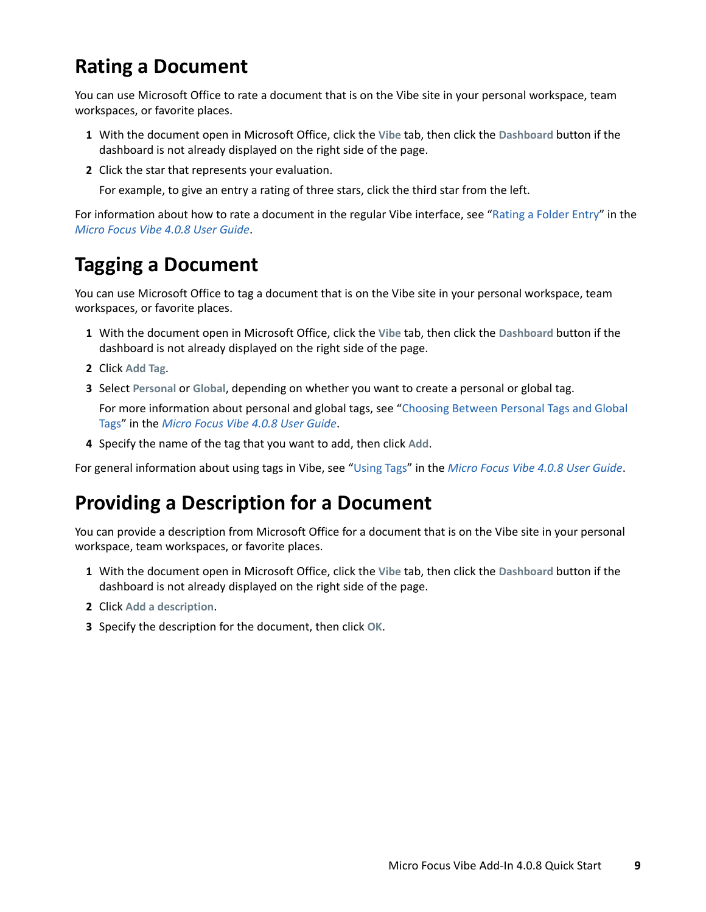# <span id="page-8-0"></span>**Rating a Document**

You can use Microsoft Office to rate a document that is on the Vibe site in your personal workspace, team workspaces, or favorite places.

- **1** With the document open in Microsoft Office, click the **Vibe** tab, then click the **Dashboard** button if the dashboard is not already displayed on the right side of the page.
- **2** Click the star that represents your evaluation.

For example, to give an entry a rating of three stars, click the third star from the left.

For information about how to rate a document in the regular Vibe interface, see ["Rating a Folder Entry"](https://www.novell.com/documentation/vibe4/pdfdoc/vibe4_user/vibe4_user.pdf#bjrv0eg) in the *Micro Focus Vibe 4.0.8 User Guide*.

# <span id="page-8-1"></span>**Tagging a Document**

You can use Microsoft Office to tag a document that is on the Vibe site in your personal workspace, team workspaces, or favorite places.

- **1** With the document open in Microsoft Office, click the **Vibe** tab, then click the **Dashboard** button if the dashboard is not already displayed on the right side of the page.
- **2** Click **Add Tag**.
- **3** Select **Personal** or **Global**, depending on whether you want to create a personal or global tag.

For more information about personal and global tags, see "[Choosing Between Personal Tags and Global](https://www.novell.com/documentation/vibe4/pdfdoc/vibe4_user/vibe4_user.pdf#bjcx520)  [Tags](https://www.novell.com/documentation/vibe4/pdfdoc/vibe4_user/vibe4_user.pdf#bjcx520)" in the *Micro Focus Vibe 4.0.8 User Guide*.

**4** Specify the name of the tag that you want to add, then click **Add**.

For general information about using tags in Vibe, see "[Using Tags](https://www.novell.com/documentation/vibe4/pdfdoc/vibe4_user/vibe4_user.pdf#toolviewentrytags)" in the *Micro Focus Vibe 4.0.8 User Guide*.

### **Providing a Description for a Document**

You can provide a description from Microsoft Office for a document that is on the Vibe site in your personal workspace, team workspaces, or favorite places.

- **1** With the document open in Microsoft Office, click the **Vibe** tab, then click the **Dashboard** button if the dashboard is not already displayed on the right side of the page.
- **2** Click **Add a description**.
- **3** Specify the description for the document, then click **OK**.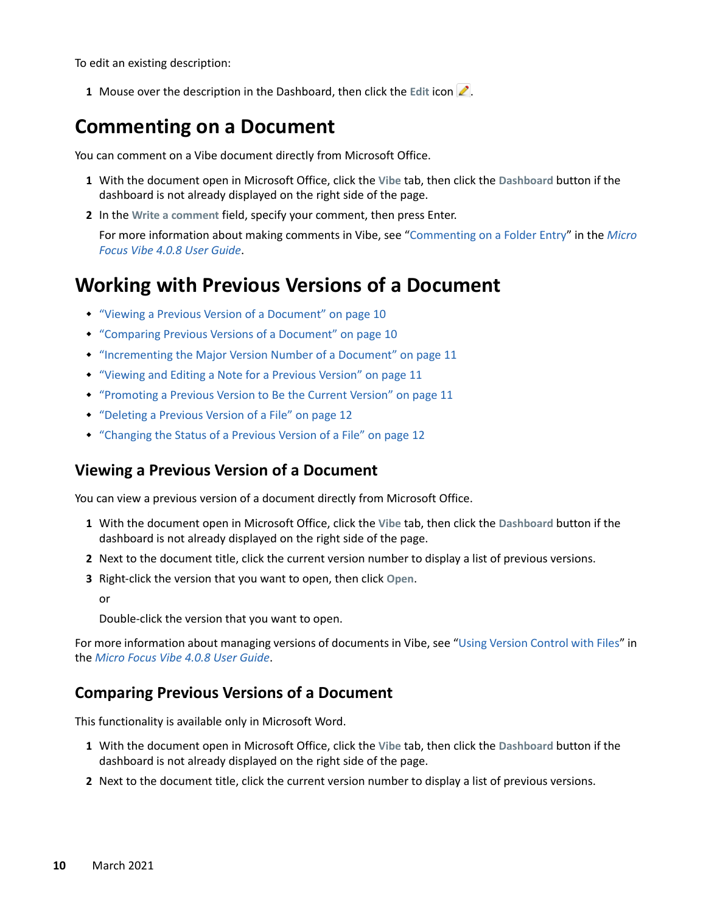To edit an existing description:

**1** Mouse over the description in the Dashboard, then click the Edit icon ...

### <span id="page-9-1"></span>**Commenting on a Document**

You can comment on a Vibe document directly from Microsoft Office.

- **1** With the document open in Microsoft Office, click the **Vibe** tab, then click the **Dashboard** button if the dashboard is not already displayed on the right side of the page.
- **2** In the **Write a comment** field, specify your comment, then press Enter.

For more information about making comments in Vibe, see "[Commenting on a Folder Entry"](https://www.novell.com/documentation/vibe4/pdfdoc/vibe4_user/vibe4_user.pdf#bjruzgg) in the *Micro Focus Vibe 4.0.8 User Guide*.

### <span id="page-9-0"></span>**Working with Previous Versions of a Document**

- ["Viewing a Previous Version of a Document" on page 10](#page-9-2)
- ["Comparing Previous Versions of a Document" on page 10](#page-9-3)
- ["Incrementing the Major Version Number of a Document" on page 11](#page-10-0)
- ["Viewing and Editing a Note for a Previous Version" on page 11](#page-10-1)
- ["Promoting a Previous Version to Be the Current Version" on page 11](#page-10-2)
- ["Deleting a Previous Version of a File" on page 12](#page-11-1)
- ["Changing the Status of a Previous Version of a File" on page 12](#page-11-2)

#### <span id="page-9-2"></span>**Viewing a Previous Version of a Document**

You can view a previous version of a document directly from Microsoft Office.

- **1** With the document open in Microsoft Office, click the **Vibe** tab, then click the **Dashboard** button if the dashboard is not already displayed on the right side of the page.
- **2** Next to the document title, click the current version number to display a list of previous versions.
- **3** Right-click the version that you want to open, then click **Open**.

or

Double-click the version that you want to open.

For more information about managing versions of documents in Vibe, see "[Using Version Control with Files"](https://www.novell.com/documentation/vibe4/pdfdoc/vibe4_user/vibe4_user.pdf#bqj9xrn) in the *Micro Focus Vibe 4.0.8 User Guide*.

#### <span id="page-9-3"></span>**Comparing Previous Versions of a Document**

This functionality is available only in Microsoft Word.

- **1** With the document open in Microsoft Office, click the **Vibe** tab, then click the **Dashboard** button if the dashboard is not already displayed on the right side of the page.
- **2** Next to the document title, click the current version number to display a list of previous versions.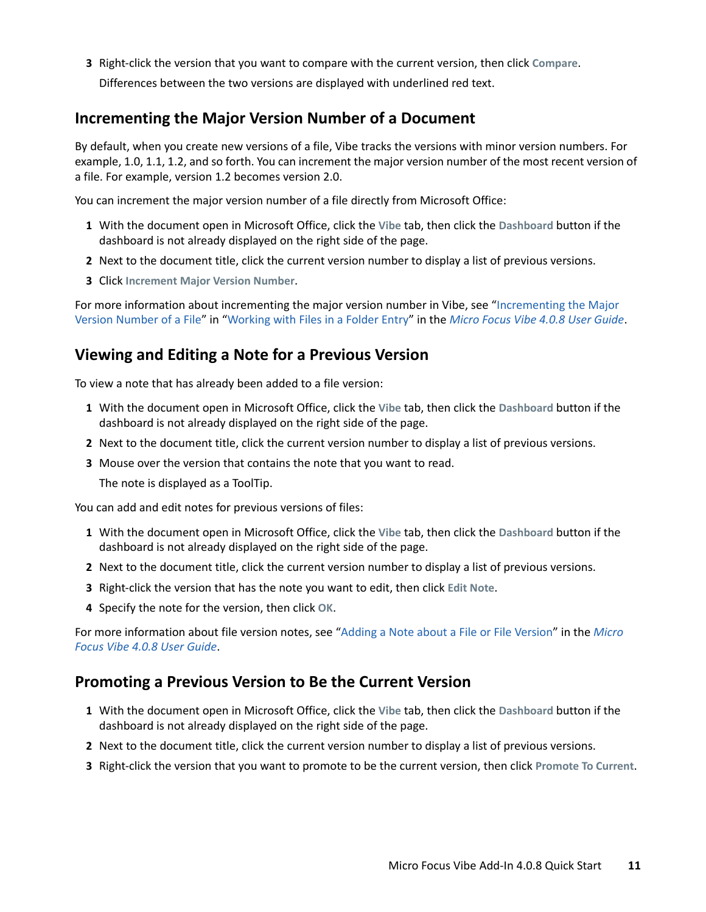**3** Right-click the version that you want to compare with the current version, then click **Compare**. Differences between the two versions are displayed with underlined red text.

### <span id="page-10-0"></span>**Incrementing the Major Version Number of a Document**

By default, when you create new versions of a file, Vibe tracks the versions with minor version numbers. For example, 1.0, 1.1, 1.2, and so forth. You can increment the major version number of the most recent version of a file. For example, version 1.2 becomes version 2.0.

You can increment the major version number of a file directly from Microsoft Office:

- **1** With the document open in Microsoft Office, click the **Vibe** tab, then click the **Dashboard** button if the dashboard is not already displayed on the right side of the page.
- **2** Next to the document title, click the current version number to display a list of previous versions.
- **3** Click **Increment Major Version Number**.

For more information about incrementing the major version number in Vibe, see "[Incrementing the Major](https://www.novell.com/documentation/vibe4/pdfdoc/vibe4_user/vibe4_user.pdf#bqjs6pe)  [Version Number of a File"](https://www.novell.com/documentation/vibe4/pdfdoc/vibe4_user/vibe4_user.pdf#bqjs6pe) in ["Working with Files in a Folder Entry"](https://www.novell.com/documentation/vibe4/pdfdoc/vibe4_user/vibe4_user.pdf#bqj9wae) in the *Micro Focus Vibe 4.0.8 User Guide*.

#### <span id="page-10-1"></span>**Viewing and Editing a Note for a Previous Version**

To view a note that has already been added to a file version:

- **1** With the document open in Microsoft Office, click the **Vibe** tab, then click the **Dashboard** button if the dashboard is not already displayed on the right side of the page.
- **2** Next to the document title, click the current version number to display a list of previous versions.
- **3** Mouse over the version that contains the note that you want to read.

The note is displayed as a ToolTip.

You can add and edit notes for previous versions of files:

- **1** With the document open in Microsoft Office, click the **Vibe** tab, then click the **Dashboard** button if the dashboard is not already displayed on the right side of the page.
- **2** Next to the document title, click the current version number to display a list of previous versions.
- **3** Right-click the version that has the note you want to edit, then click **Edit Note**.
- **4** Specify the note for the version, then click **OK**.

For more information about file version notes, see "[Adding a Note about a File or File Version"](https://www.novell.com/documentation/vibe4/pdfdoc/vibe4_user/vibe4_user.pdf#bqj9xrc) in the *Micro Focus Vibe 4.0.8 User Guide*.

#### <span id="page-10-2"></span>**Promoting a Previous Version to Be the Current Version**

- **1** With the document open in Microsoft Office, click the **Vibe** tab, then click the **Dashboard** button if the dashboard is not already displayed on the right side of the page.
- **2** Next to the document title, click the current version number to display a list of previous versions.
- **3** Right-click the version that you want to promote to be the current version, then click **Promote To Current**.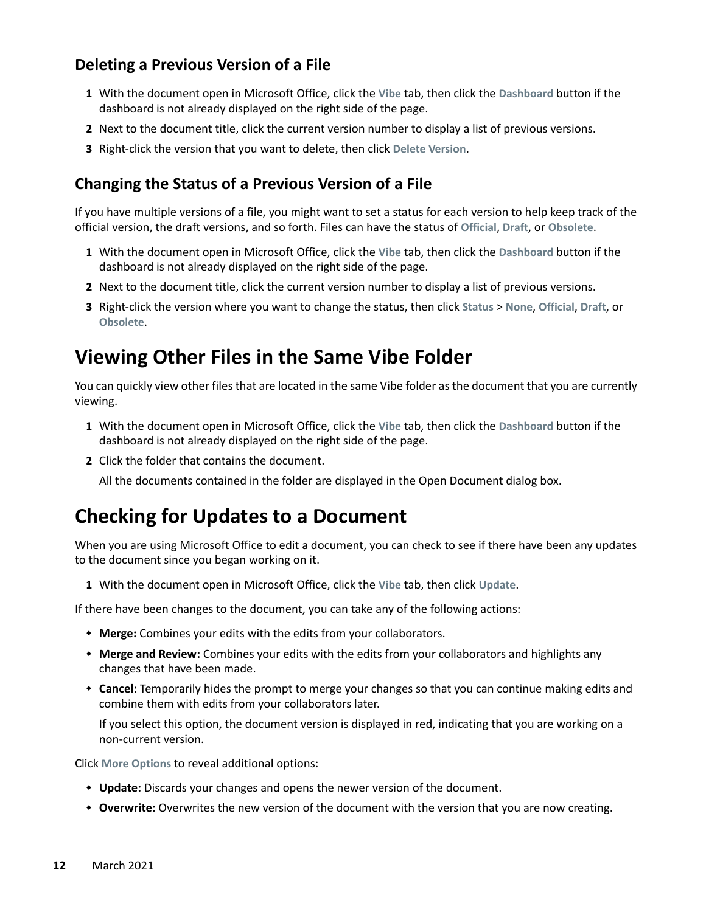### <span id="page-11-1"></span>**Deleting a Previous Version of a File**

- **1** With the document open in Microsoft Office, click the **Vibe** tab, then click the **Dashboard** button if the dashboard is not already displayed on the right side of the page.
- **2** Next to the document title, click the current version number to display a list of previous versions.
- **3** Right-click the version that you want to delete, then click **Delete Version**.

#### <span id="page-11-2"></span>**Changing the Status of a Previous Version of a File**

If you have multiple versions of a file, you might want to set a status for each version to help keep track of the official version, the draft versions, and so forth. Files can have the status of **Official**, **Draft**, or **Obsolete**.

- **1** With the document open in Microsoft Office, click the **Vibe** tab, then click the **Dashboard** button if the dashboard is not already displayed on the right side of the page.
- **2** Next to the document title, click the current version number to display a list of previous versions.
- **3** Right-click the version where you want to change the status, then click **Status** > **None**, **Official**, **Draft**, or **Obsolete**.

### <span id="page-11-0"></span>**Viewing Other Files in the Same Vibe Folder**

You can quickly view other files that are located in the same Vibe folder as the document that you are currently viewing.

- **1** With the document open in Microsoft Office, click the **Vibe** tab, then click the **Dashboard** button if the dashboard is not already displayed on the right side of the page.
- **2** Click the folder that contains the document.

All the documents contained in the folder are displayed in the Open Document dialog box.

### **Checking for Updates to a Document**

When you are using Microsoft Office to edit a document, you can check to see if there have been any updates to the document since you began working on it.

**1** With the document open in Microsoft Office, click the **Vibe** tab, then click **Update**.

If there have been changes to the document, you can take any of the following actions:

- **Merge:** Combines your edits with the edits from your collaborators.
- **Merge and Review:** Combines your edits with the edits from your collaborators and highlights any changes that have been made.
- **Cancel:** Temporarily hides the prompt to merge your changes so that you can continue making edits and combine them with edits from your collaborators later.

If you select this option, the document version is displayed in red, indicating that you are working on a non-current version.

Click **More Options** to reveal additional options:

- **Update:** Discards your changes and opens the newer version of the document.
- **Overwrite:** Overwrites the new version of the document with the version that you are now creating.